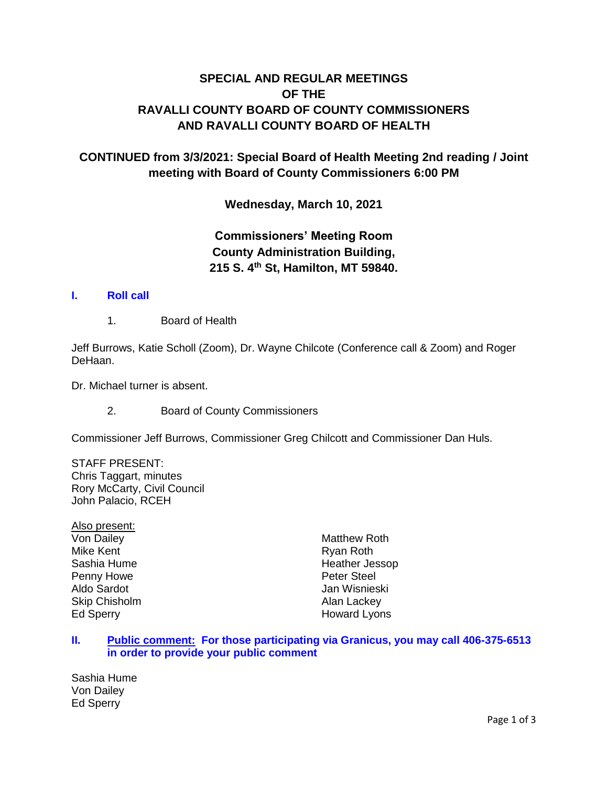# **SPECIAL AND REGULAR MEETINGS OF THE RAVALLI COUNTY BOARD OF COUNTY COMMISSIONERS AND RAVALLI COUNTY BOARD OF HEALTH**

## **CONTINUED from 3/3/2021: Special Board of Health Meeting 2nd reading / Joint meeting with Board of County Commissioners 6:00 PM**

**Wednesday, March 10, 2021**

# **Commissioners' Meeting Room County Administration Building, 215 S. 4th St, Hamilton, MT 59840.**

### **I. [Roll call](http://ravalli-mt.granicus.com/wordlinkreceiver.php?clip_id=1d7542de-74ae-41a2-95cc-60810c6d14b0&meta_id=307bcda6-2d38-448b-bf69-7f47a870332a&time=5)**

1. Board of Health

Jeff Burrows, Katie Scholl (Zoom), Dr. Wayne Chilcote (Conference call & Zoom) and Roger DeHaan.

Dr. Michael turner is absent.

2. Board of County Commissioners

Commissioner Jeff Burrows, Commissioner Greg Chilcott and Commissioner Dan Huls.

STAFF PRESENT: Chris Taggart, minutes Rory McCarty, Civil Council John Palacio, RCEH

Also present: Von Dailey Mike Kent Sashia Hume Penny Howe Aldo Sardot Skip Chisholm Ed Sperry

Matthew Roth Ryan Roth Heather Jessop Peter Steel Jan Wisnieski Alan Lackey Howard Lyons

### **II. [Public comment: For those participating via Granicus, you may call 406-375-6513](http://ravalli-mt.granicus.com/wordlinkreceiver.php?clip_id=1d7542de-74ae-41a2-95cc-60810c6d14b0&meta_id=0639e164-d592-48ab-8026-a697b864c724&time=60)  [in order to provide your public comment](http://ravalli-mt.granicus.com/wordlinkreceiver.php?clip_id=1d7542de-74ae-41a2-95cc-60810c6d14b0&meta_id=0639e164-d592-48ab-8026-a697b864c724&time=60)**

Sashia Hume Von Dailey Ed Sperry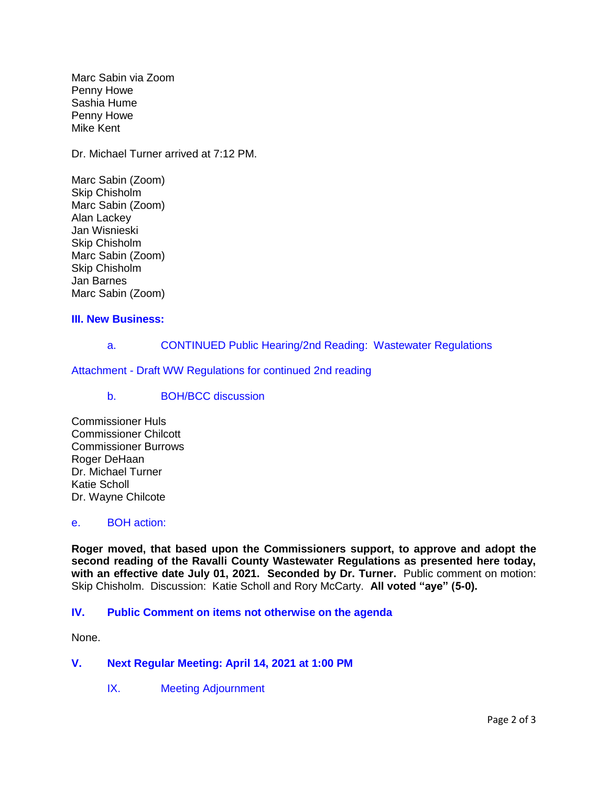Marc Sabin via Zoom Penny Howe Sashia Hume Penny Howe Mike Kent

Dr. Michael Turner arrived at 7:12 PM.

Marc Sabin (Zoom) Skip Chisholm Marc Sabin (Zoom) Alan Lackey Jan Wisnieski Skip Chisholm Marc Sabin (Zoom) Skip Chisholm Jan Barnes Marc Sabin (Zoom)

## **[III. New Business:](http://ravalli-mt.granicus.com/wordlinkreceiver.php?clip_id=1d7542de-74ae-41a2-95cc-60810c6d14b0&meta_id=05d232a7-f8fc-4664-85a8-08cac7967779&time=6155)**

a. [CONTINUED Public Hearing/2nd Reading: Wastewater Regulations](http://ravalli-mt.granicus.com/wordlinkreceiver.php?clip_id=1d7542de-74ae-41a2-95cc-60810c6d14b0&meta_id=4bc5cc96-cda8-4059-b1e9-7bbadd35aa83&time=6157) 

Attachment - Draft WW Regulations [for continued 2nd reading](http://ravalli-mt.granicus.com/DocumentViewer.php?file=ravalli-mt_60d2da9b9ca24c6ac30faaeedabaf973.pdf)

### b. [BOH/BCC discussion](http://ravalli-mt.granicus.com/wordlinkreceiver.php?clip_id=1d7542de-74ae-41a2-95cc-60810c6d14b0&meta_id=22a08909-d803-41c6-8fd6-fe46b6e7c7e6&time=6159)

Commissioner Huls Commissioner Chilcott Commissioner Burrows Roger DeHaan Dr. Michael Turner Katie Scholl Dr. Wayne Chilcote

#### e. [BOH action:](http://ravalli-mt.granicus.com/wordlinkreceiver.php?clip_id=1d7542de-74ae-41a2-95cc-60810c6d14b0&meta_id=1c0298ef-d1f7-4ced-9b74-19cab07c0e37&time=7056)

**Roger moved, that based upon the Commissioners support, to approve and adopt the second reading of the Ravalli County Wastewater Regulations as presented here today, with an effective date July 01, 2021. Seconded by Dr. Turner.** Public comment on motion: Skip Chisholm. Discussion: Katie Scholl and Rory McCarty. **All voted "aye" (5-0).**

### **IV. [Public Comment on items not otherwise on the agenda](http://ravalli-mt.granicus.com/wordlinkreceiver.php?clip_id=1d7542de-74ae-41a2-95cc-60810c6d14b0&meta_id=39c2c9c8-ef8b-4a46-9aca-6fb477a20be1&time=7085)**

None.

### **V. [Next Regular Meeting: April 14, 2021 at 1:00 PM](http://ravalli-mt.granicus.com/wordlinkreceiver.php?clip_id=1d7542de-74ae-41a2-95cc-60810c6d14b0&meta_id=e3fd8ba2-f224-45f3-8777-aaeb72081d38&time=7096)**

IX. [Meeting Adjournment](http://ravalli-mt.granicus.com/wordlinkreceiver.php?clip_id=1d7542de-74ae-41a2-95cc-60810c6d14b0&meta_id=868ff850-4238-4f92-9b5d-d6e18c76c8a2&time=7105)